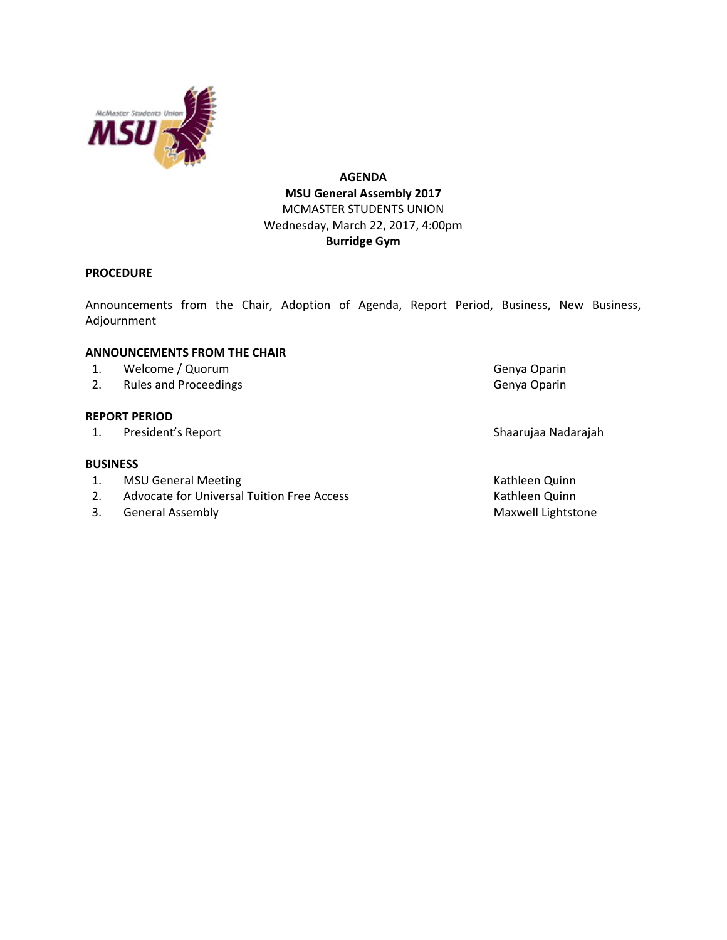

# **AGENDA MSU General Assembly 2017** MCMASTER STUDENTS UNION Wednesday, March 22, 2017, 4:00pm **Burridge Gym**

## **PROCEDURE**

Announcements from the Chair, Adoption of Agenda, Report Period, Business, New Business, Adjournment

## **ANNOUNCEMENTS FROM THE CHAIR**

- 1. Welcome / Quorum Genya Oparin
- 2. Rules and Proceedings Canadian Control of Cenya Oparin

## **REPORT PERIOD**

1. President's Report Shaarujaa Nadarajah

### **BUSINESS**

- 1. MSU General Meeting **Kathleen Quinn** Kathleen Quinn
- 2. Advocate for Universal Tuition Free Access Kathleen Quinn
- 3. General Assembly **Maxwell Lightstone** Maxwell Lightstone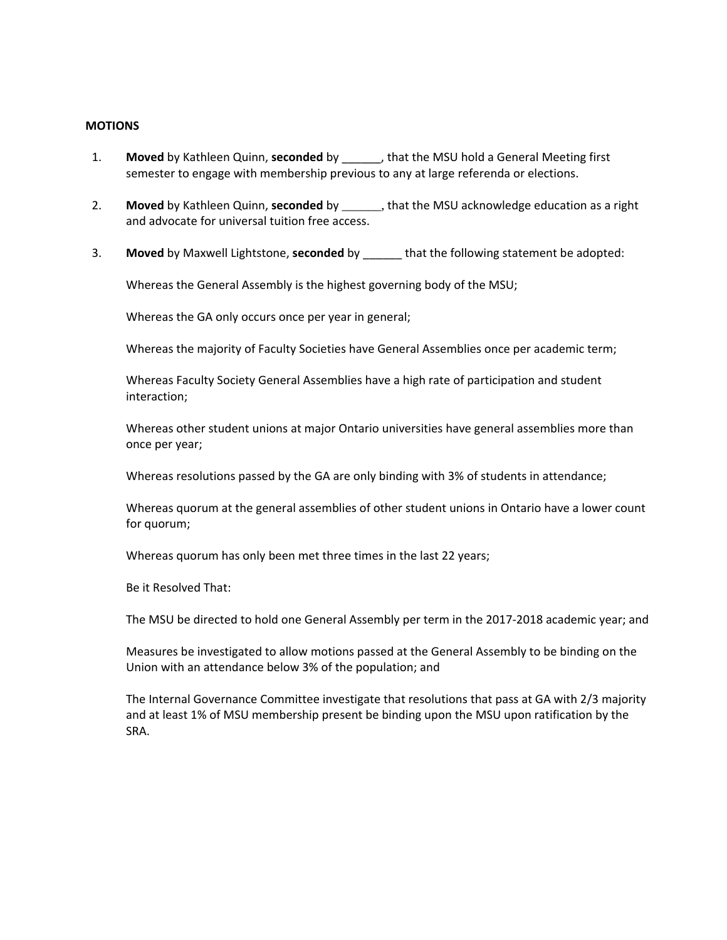### **MOTIONS**

- 1. **Moved** by Kathleen Quinn, **seconded** by \_\_\_\_\_\_, that the MSU hold a General Meeting first semester to engage with membership previous to any at large referenda or elections.
- 2. **Moved** by Kathleen Quinn, **seconded** by \_\_\_\_\_\_, that the MSU acknowledge education as a right and advocate for universal tuition free access.
- 3. **Moved** by Maxwell Lightstone, **seconded** by \_\_\_\_\_\_ that the following statement be adopted:

Whereas the General Assembly is the highest governing body of the MSU;

Whereas the GA only occurs once per year in general;

Whereas the majority of Faculty Societies have General Assemblies once per academic term;

Whereas Faculty Society General Assemblies have a high rate of participation and student interaction;

Whereas other student unions at major Ontario universities have general assemblies more than once per year;

Whereas resolutions passed by the GA are only binding with 3% of students in attendance;

Whereas quorum at the general assemblies of other student unions in Ontario have a lower count for quorum;

Whereas quorum has only been met three times in the last 22 years;

Be it Resolved That:

The MSU be directed to hold one General Assembly per term in the 2017‐2018 academic year; and

Measures be investigated to allow motions passed at the General Assembly to be binding on the Union with an attendance below 3% of the population; and

The Internal Governance Committee investigate that resolutions that pass at GA with 2/3 majority and at least 1% of MSU membership present be binding upon the MSU upon ratification by the SRA.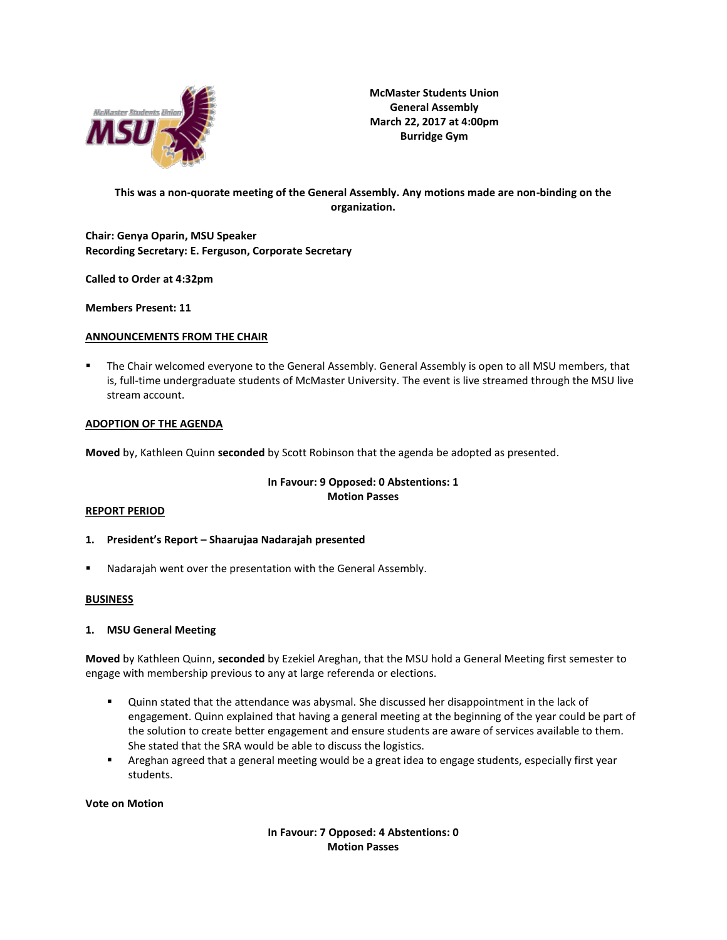

**McMaster Students Union General Assembly March 22, 2017 at 4:00pm Burridge Gym**

## **This was a non-quorate meeting of the General Assembly. Any motions made are non-binding on the organization.**

**Chair: Genya Oparin, MSU Speaker Recording Secretary: E. Ferguson, Corporate Secretary**

**Called to Order at 4:32pm**

**Members Present: 11**

### **ANNOUNCEMENTS FROM THE CHAIR**

The Chair welcomed everyone to the General Assembly. General Assembly is open to all MSU members, that is, full-time undergraduate students of McMaster University. The event is live streamed through the MSU live stream account.

### **ADOPTION OF THE AGENDA**

**Moved** by, Kathleen Quinn **seconded** by Scott Robinson that the agenda be adopted as presented.

## **In Favour: 9 Opposed: 0 Abstentions: 1 Motion Passes**

#### **REPORT PERIOD**

- **1. President's Report – Shaarujaa Nadarajah presented**
- Nadarajah went over the presentation with the General Assembly.

## **BUSINESS**

#### **1. MSU General Meeting**

**Moved** by Kathleen Quinn, **seconded** by Ezekiel Areghan, that the MSU hold a General Meeting first semester to engage with membership previous to any at large referenda or elections.

- Quinn stated that the attendance was abysmal. She discussed her disappointment in the lack of engagement. Quinn explained that having a general meeting at the beginning of the year could be part of the solution to create better engagement and ensure students are aware of services available to them. She stated that the SRA would be able to discuss the logistics.
- Areghan agreed that a general meeting would be a great idea to engage students, especially first year students.

#### **Vote on Motion**

**In Favour: 7 Opposed: 4 Abstentions: 0 Motion Passes**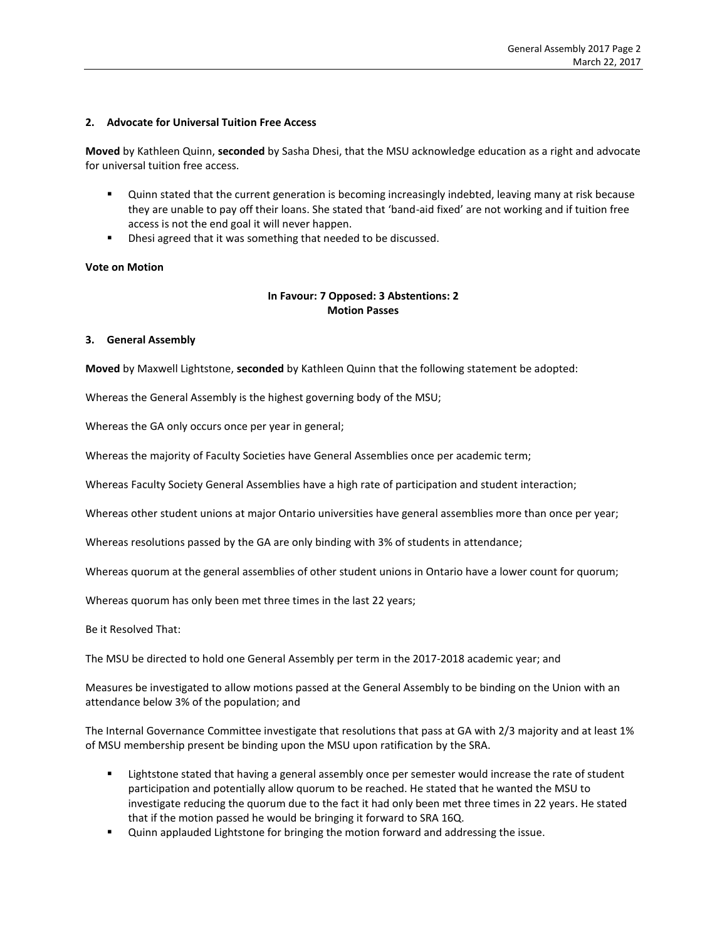### **2. Advocate for Universal Tuition Free Access**

**Moved** by Kathleen Quinn, **seconded** by Sasha Dhesi, that the MSU acknowledge education as a right and advocate for universal tuition free access.

- Quinn stated that the current generation is becoming increasingly indebted, leaving many at risk because they are unable to pay off their loans. She stated that 'band-aid fixed' are not working and if tuition free access is not the end goal it will never happen.
- Dhesi agreed that it was something that needed to be discussed.

### **Vote on Motion**

## **In Favour: 7 Opposed: 3 Abstentions: 2 Motion Passes**

#### **3. General Assembly**

**Moved** by Maxwell Lightstone, **seconded** by Kathleen Quinn that the following statement be adopted:

Whereas the General Assembly is the highest governing body of the MSU;

Whereas the GA only occurs once per year in general;

Whereas the majority of Faculty Societies have General Assemblies once per academic term;

Whereas Faculty Society General Assemblies have a high rate of participation and student interaction;

Whereas other student unions at major Ontario universities have general assemblies more than once per year;

Whereas resolutions passed by the GA are only binding with 3% of students in attendance;

Whereas quorum at the general assemblies of other student unions in Ontario have a lower count for quorum;

Whereas quorum has only been met three times in the last 22 years;

Be it Resolved That:

The MSU be directed to hold one General Assembly per term in the 2017-2018 academic year; and

Measures be investigated to allow motions passed at the General Assembly to be binding on the Union with an attendance below 3% of the population; and

The Internal Governance Committee investigate that resolutions that pass at GA with 2/3 majority and at least 1% of MSU membership present be binding upon the MSU upon ratification by the SRA.

- Lightstone stated that having a general assembly once per semester would increase the rate of student participation and potentially allow quorum to be reached. He stated that he wanted the MSU to investigate reducing the quorum due to the fact it had only been met three times in 22 years. He stated that if the motion passed he would be bringing it forward to SRA 16Q.
- **•** Quinn applauded Lightstone for bringing the motion forward and addressing the issue.